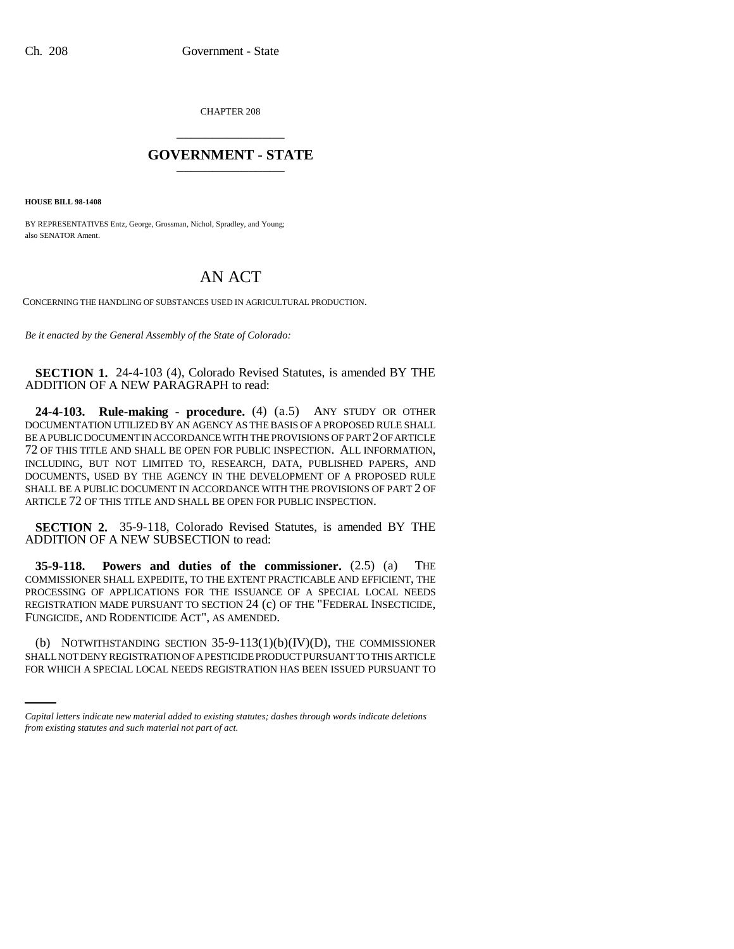CHAPTER 208 \_\_\_\_\_\_\_\_\_\_\_\_\_\_\_

## **GOVERNMENT - STATE** \_\_\_\_\_\_\_\_\_\_\_\_\_\_\_

**HOUSE BILL 98-1408**

BY REPRESENTATIVES Entz, George, Grossman, Nichol, Spradley, and Young; also SENATOR Ament.

## AN ACT

CONCERNING THE HANDLING OF SUBSTANCES USED IN AGRICULTURAL PRODUCTION.

*Be it enacted by the General Assembly of the State of Colorado:*

**SECTION 1.** 24-4-103 (4), Colorado Revised Statutes, is amended BY THE ADDITION OF A NEW PARAGRAPH to read:

**24-4-103. Rule-making - procedure.** (4) (a.5) ANY STUDY OR OTHER DOCUMENTATION UTILIZED BY AN AGENCY AS THE BASIS OF A PROPOSED RULE SHALL BE A PUBLIC DOCUMENT IN ACCORDANCE WITH THE PROVISIONS OF PART 2 OF ARTICLE 72 OF THIS TITLE AND SHALL BE OPEN FOR PUBLIC INSPECTION. ALL INFORMATION, INCLUDING, BUT NOT LIMITED TO, RESEARCH, DATA, PUBLISHED PAPERS, AND DOCUMENTS, USED BY THE AGENCY IN THE DEVELOPMENT OF A PROPOSED RULE SHALL BE A PUBLIC DOCUMENT IN ACCORDANCE WITH THE PROVISIONS OF PART 2 OF ARTICLE 72 OF THIS TITLE AND SHALL BE OPEN FOR PUBLIC INSPECTION.

**SECTION 2.** 35-9-118, Colorado Revised Statutes, is amended BY THE ADDITION OF A NEW SUBSECTION to read:

**35-9-118. Powers and duties of the commissioner.** (2.5) (a) THE COMMISSIONER SHALL EXPEDITE, TO THE EXTENT PRACTICABLE AND EFFICIENT, THE PROCESSING OF APPLICATIONS FOR THE ISSUANCE OF A SPECIAL LOCAL NEEDS REGISTRATION MADE PURSUANT TO SECTION 24 (c) OF THE "FEDERAL INSECTICIDE, FUNGICIDE, AND RODENTICIDE ACT", AS AMENDED.

(b) NOTWITHSTANDING SECTION 35-9-113(1)(b)(IV)(D), THE COMMISSIONER SHALL NOT DENY REGISTRATION OF A PESTICIDE PRODUCT PURSUANT TO THIS ARTICLE FOR WHICH A SPECIAL LOCAL NEEDS REGISTRATION HAS BEEN ISSUED PURSUANT TO

*Capital letters indicate new material added to existing statutes; dashes through words indicate deletions from existing statutes and such material not part of act.*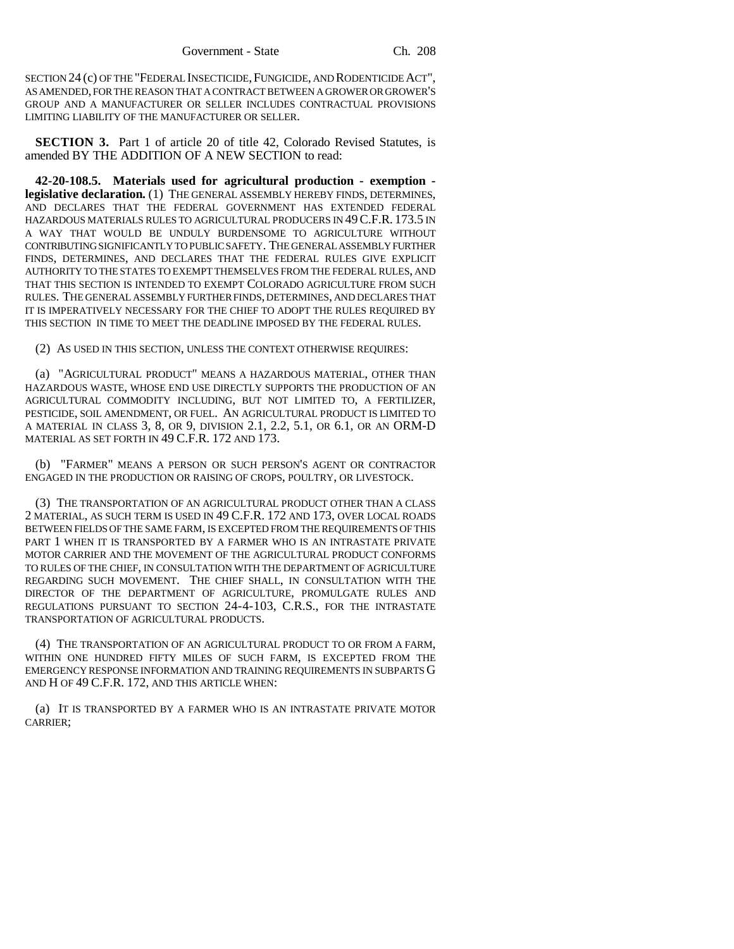SECTION 24 (c) OF THE "FEDERAL INSECTICIDE,FUNGICIDE, AND RODENTICIDE ACT", AS AMENDED, FOR THE REASON THAT A CONTRACT BETWEEN A GROWER OR GROWER'S GROUP AND A MANUFACTURER OR SELLER INCLUDES CONTRACTUAL PROVISIONS LIMITING LIABILITY OF THE MANUFACTURER OR SELLER.

**SECTION 3.** Part 1 of article 20 of title 42, Colorado Revised Statutes, is amended BY THE ADDITION OF A NEW SECTION to read:

**42-20-108.5. Materials used for agricultural production - exemption legislative declaration.** (1) THE GENERAL ASSEMBLY HEREBY FINDS, DETERMINES, AND DECLARES THAT THE FEDERAL GOVERNMENT HAS EXTENDED FEDERAL HAZARDOUS MATERIALS RULES TO AGRICULTURAL PRODUCERS IN 49C.F.R. 173.5 IN A WAY THAT WOULD BE UNDULY BURDENSOME TO AGRICULTURE WITHOUT CONTRIBUTING SIGNIFICANTLY TO PUBLIC SAFETY. THE GENERAL ASSEMBLY FURTHER FINDS, DETERMINES, AND DECLARES THAT THE FEDERAL RULES GIVE EXPLICIT AUTHORITY TO THE STATES TO EXEMPT THEMSELVES FROM THE FEDERAL RULES, AND THAT THIS SECTION IS INTENDED TO EXEMPT COLORADO AGRICULTURE FROM SUCH RULES. THE GENERAL ASSEMBLY FURTHER FINDS, DETERMINES, AND DECLARES THAT IT IS IMPERATIVELY NECESSARY FOR THE CHIEF TO ADOPT THE RULES REQUIRED BY THIS SECTION IN TIME TO MEET THE DEADLINE IMPOSED BY THE FEDERAL RULES.

(2) AS USED IN THIS SECTION, UNLESS THE CONTEXT OTHERWISE REQUIRES:

(a) "AGRICULTURAL PRODUCT" MEANS A HAZARDOUS MATERIAL, OTHER THAN HAZARDOUS WASTE, WHOSE END USE DIRECTLY SUPPORTS THE PRODUCTION OF AN AGRICULTURAL COMMODITY INCLUDING, BUT NOT LIMITED TO, A FERTILIZER, PESTICIDE, SOIL AMENDMENT, OR FUEL. AN AGRICULTURAL PRODUCT IS LIMITED TO A MATERIAL IN CLASS 3, 8, OR 9, DIVISION 2.1, 2.2, 5.1, OR 6.1, OR AN ORM-D MATERIAL AS SET FORTH IN 49 C.F.R. 172 AND 173.

(b) "FARMER" MEANS A PERSON OR SUCH PERSON'S AGENT OR CONTRACTOR ENGAGED IN THE PRODUCTION OR RAISING OF CROPS, POULTRY, OR LIVESTOCK.

(3) THE TRANSPORTATION OF AN AGRICULTURAL PRODUCT OTHER THAN A CLASS 2 MATERIAL, AS SUCH TERM IS USED IN 49 C.F.R. 172 AND 173, OVER LOCAL ROADS BETWEEN FIELDS OF THE SAME FARM, IS EXCEPTED FROM THE REQUIREMENTS OF THIS PART 1 WHEN IT IS TRANSPORTED BY A FARMER WHO IS AN INTRASTATE PRIVATE MOTOR CARRIER AND THE MOVEMENT OF THE AGRICULTURAL PRODUCT CONFORMS TO RULES OF THE CHIEF, IN CONSULTATION WITH THE DEPARTMENT OF AGRICULTURE REGARDING SUCH MOVEMENT. THE CHIEF SHALL, IN CONSULTATION WITH THE DIRECTOR OF THE DEPARTMENT OF AGRICULTURE, PROMULGATE RULES AND REGULATIONS PURSUANT TO SECTION 24-4-103, C.R.S., FOR THE INTRASTATE TRANSPORTATION OF AGRICULTURAL PRODUCTS.

(4) THE TRANSPORTATION OF AN AGRICULTURAL PRODUCT TO OR FROM A FARM, WITHIN ONE HUNDRED FIFTY MILES OF SUCH FARM, IS EXCEPTED FROM THE EMERGENCY RESPONSE INFORMATION AND TRAINING REQUIREMENTS IN SUBPARTS G AND H OF 49 C.F.R. 172, AND THIS ARTICLE WHEN:

(a) IT IS TRANSPORTED BY A FARMER WHO IS AN INTRASTATE PRIVATE MOTOR CARRIER;